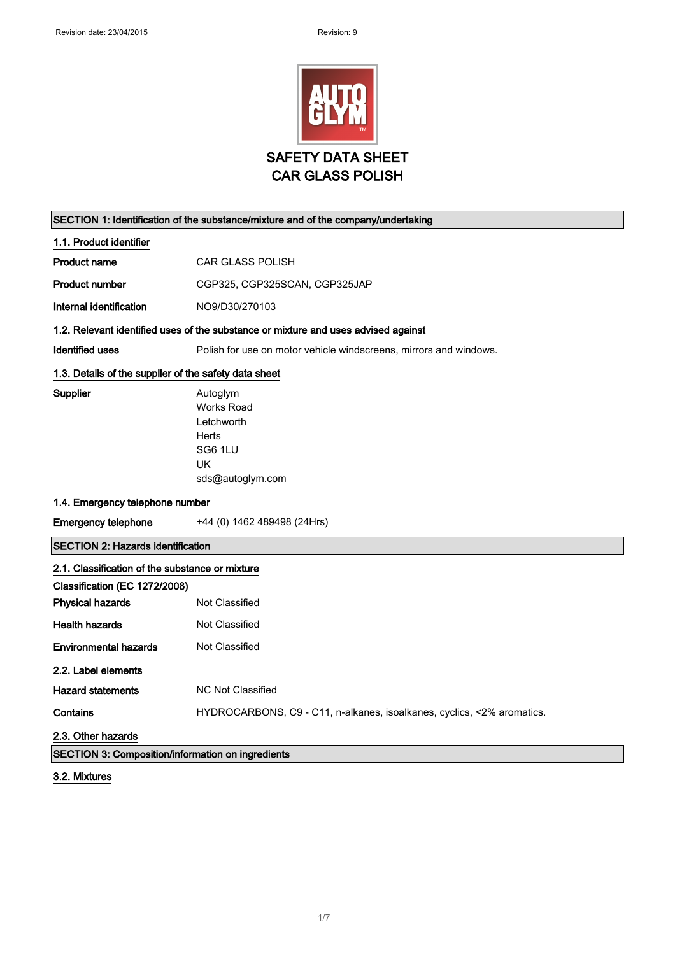

|                                                                                    | SECTION 1: Identification of the substance/mixture and of the company/undertaking         |
|------------------------------------------------------------------------------------|-------------------------------------------------------------------------------------------|
| 1.1. Product identifier                                                            |                                                                                           |
| <b>Product name</b>                                                                | <b>CAR GLASS POLISH</b>                                                                   |
| <b>Product number</b>                                                              | CGP325, CGP325SCAN, CGP325JAP                                                             |
| Internal identification                                                            | NO9/D30/270103                                                                            |
| 1.2. Relevant identified uses of the substance or mixture and uses advised against |                                                                                           |
| <b>Identified uses</b>                                                             | Polish for use on motor vehicle windscreens, mirrors and windows.                         |
| 1.3. Details of the supplier of the safety data sheet                              |                                                                                           |
| Supplier                                                                           | Autoglym<br><b>Works Road</b><br>Letchworth<br>Herts<br>SG6 1LU<br>UK<br>sds@autoglym.com |
| 1.4. Emergency telephone number                                                    |                                                                                           |
| <b>Emergency telephone</b>                                                         | +44 (0) 1462 489498 (24Hrs)                                                               |
| <b>SECTION 2: Hazards identification</b>                                           |                                                                                           |
| 2.1. Classification of the substance or mixture                                    |                                                                                           |
| Classification (EC 1272/2008)                                                      |                                                                                           |
| <b>Physical hazards</b>                                                            | <b>Not Classified</b>                                                                     |
| <b>Health hazards</b>                                                              | <b>Not Classified</b>                                                                     |
| <b>Environmental hazards</b>                                                       | Not Classified                                                                            |
| 2.2. Label elements                                                                |                                                                                           |
| <b>Hazard statements</b>                                                           | <b>NC Not Classified</b>                                                                  |
| Contains                                                                           | HYDROCARBONS, C9 - C11, n-alkanes, isoalkanes, cyclics, <2% aromatics.                    |
| 2.3. Other hazards                                                                 |                                                                                           |
| <b>SECTION 3: Composition/information on ingredients</b>                           |                                                                                           |

3.2. Mixtures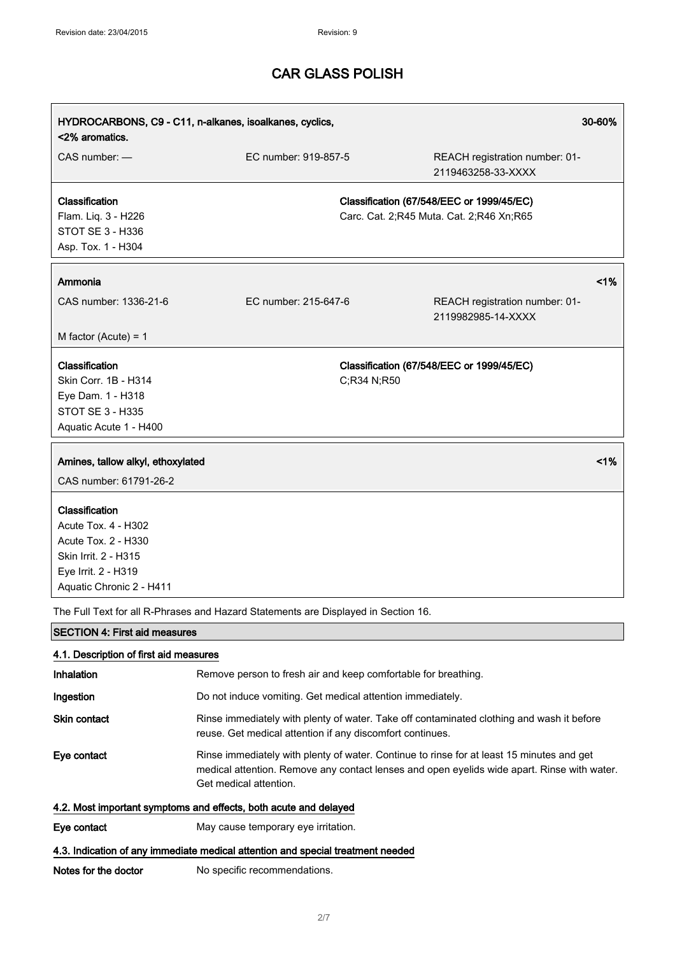| HYDROCARBONS, C9 - C11, n-alkanes, isoalkanes, cyclics,<br>30-60%<br><2% aromatics.                                                     |                                                                                    |                                                                                                                                                                                          |
|-----------------------------------------------------------------------------------------------------------------------------------------|------------------------------------------------------------------------------------|------------------------------------------------------------------------------------------------------------------------------------------------------------------------------------------|
| CAS number: -                                                                                                                           | EC number: 919-857-5                                                               | REACH registration number: 01-<br>2119463258-33-XXXX                                                                                                                                     |
| Classification<br>Flam. Liq. 3 - H226<br>STOT SE 3 - H336<br>Asp. Tox. 1 - H304                                                         |                                                                                    | Classification (67/548/EEC or 1999/45/EC)<br>Carc. Cat. 2;R45 Muta. Cat. 2;R46 Xn;R65                                                                                                    |
| Ammonia                                                                                                                                 |                                                                                    | 1%                                                                                                                                                                                       |
| CAS number: 1336-21-6                                                                                                                   | EC number: 215-647-6                                                               | REACH registration number: 01-<br>2119982985-14-XXXX                                                                                                                                     |
| M factor (Acute) = $1$                                                                                                                  |                                                                                    |                                                                                                                                                                                          |
| Classification<br>Skin Corr. 1B - H314<br>Eye Dam. 1 - H318<br><b>STOT SE 3 - H335</b><br>Aquatic Acute 1 - H400                        |                                                                                    | Classification (67/548/EEC or 1999/45/EC)<br>C;R34 N;R50                                                                                                                                 |
| Amines, tallow alkyl, ethoxylated<br>CAS number: 61791-26-2                                                                             |                                                                                    | 1%                                                                                                                                                                                       |
| Classification<br>Acute Tox. 4 - H302<br>Acute Tox. 2 - H330<br>Skin Irrit. 2 - H315<br>Eye Irrit. 2 - H319<br>Aquatic Chronic 2 - H411 |                                                                                    |                                                                                                                                                                                          |
|                                                                                                                                         | The Full Text for all R-Phrases and Hazard Statements are Displayed in Section 16. |                                                                                                                                                                                          |
| <b>SECTION 4: First aid measures</b>                                                                                                    |                                                                                    |                                                                                                                                                                                          |
| 4.1. Description of first aid measures                                                                                                  |                                                                                    |                                                                                                                                                                                          |
| Inhalation                                                                                                                              |                                                                                    | Remove person to fresh air and keep comfortable for breathing.                                                                                                                           |
| Ingestion                                                                                                                               | Do not induce vomiting. Get medical attention immediately.                         |                                                                                                                                                                                          |
| <b>Skin contact</b>                                                                                                                     | reuse. Get medical attention if any discomfort continues.                          | Rinse immediately with plenty of water. Take off contaminated clothing and wash it before                                                                                                |
| Eye contact                                                                                                                             | Get medical attention.                                                             | Rinse immediately with plenty of water. Continue to rinse for at least 15 minutes and get<br>medical attention. Remove any contact lenses and open eyelids wide apart. Rinse with water. |
|                                                                                                                                         | 4.2. Most important symptoms and effects, both acute and delayed                   |                                                                                                                                                                                          |
| Eye contact                                                                                                                             | May cause temporary eye irritation.                                                |                                                                                                                                                                                          |
|                                                                                                                                         | 4.3. Indication of any immediate medical attention and special treatment needed    |                                                                                                                                                                                          |

Notes for the doctor No specific recommendations.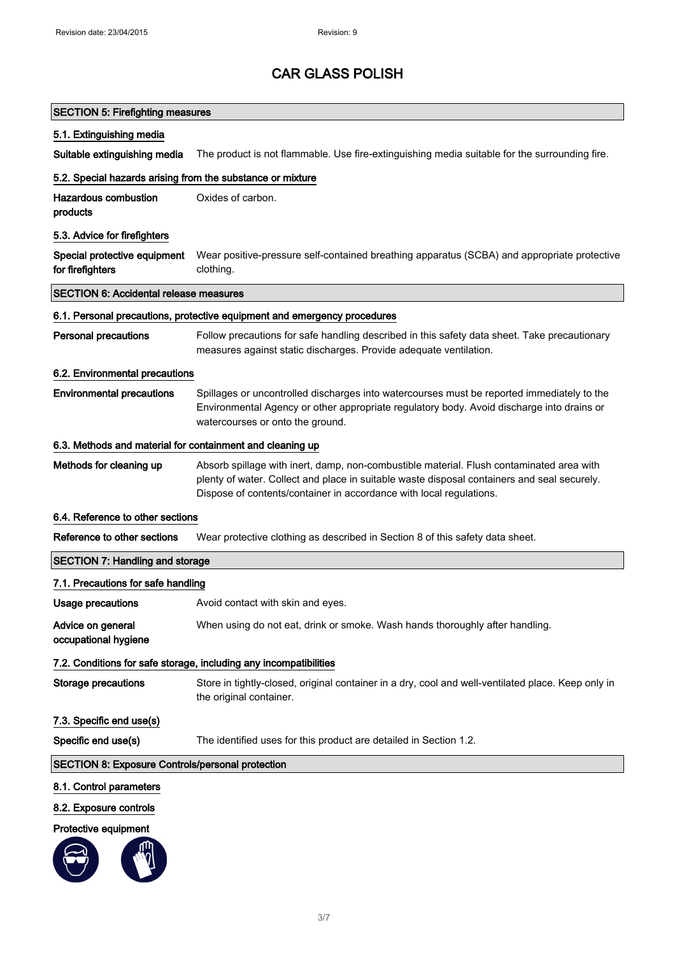### SECTION 5: Firefighting measures

#### 5.1. Extinguishing media

Suitable extinguishing media The product is not flammable. Use fire-extinguishing media suitable for the surrounding fire.

### 5.2. Special hazards arising from the substance or mixture

| Hazardous combustion | Oxides of carbon. |
|----------------------|-------------------|
| products             |                   |

#### 5.3. Advice for firefighters

|                  | Special protective equipment Wear positive-pressure self-contained breathing apparatus (SCBA) and appropriate protective |
|------------------|--------------------------------------------------------------------------------------------------------------------------|
| for firefighters | clothing.                                                                                                                |

### SECTION 6: Accidental release measures

### 6.1. Personal precautions, protective equipment and emergency procedures

| <b>Personal precautions</b> | Follow precautions for safe handling described in this safety data sheet. Take precautionary |
|-----------------------------|----------------------------------------------------------------------------------------------|
|                             | measures against static discharges. Provide adequate ventilation.                            |

### 6.2. Environmental precautions

### Environmental precautions Spillages or uncontrolled discharges into watercourses must be reported immediately to the Environmental Agency or other appropriate regulatory body. Avoid discharge into drains or watercourses or onto the ground.

#### 6.3. Methods and material for containment and cleaning up

Methods for cleaning up Absorb spillage with inert, damp, non-combustible material. Flush contaminated area with plenty of water. Collect and place in suitable waste disposal containers and seal securely. Dispose of contents/container in accordance with local regulations.

### 6.4. Reference to other sections

Reference to other sections Wear protective clothing as described in Section 8 of this safety data sheet.

# SECTION 7: Handling and storage

| 7.1. Precautions for safe handling                                |                                                                                                                               |  |
|-------------------------------------------------------------------|-------------------------------------------------------------------------------------------------------------------------------|--|
| Usage precautions                                                 | Avoid contact with skin and eyes.                                                                                             |  |
| Advice on general<br>occupational hygiene                         | When using do not eat, drink or smoke. Wash hands thoroughly after handling.                                                  |  |
| 7.2. Conditions for safe storage, including any incompatibilities |                                                                                                                               |  |
| Storage precautions                                               | Store in tightly-closed, original container in a dry, cool and well-ventilated place. Keep only in<br>the original container. |  |
| 7.3. Specific end use(s)                                          |                                                                                                                               |  |
| Specific end use(s)                                               | The identified uses for this product are detailed in Section 1.2.                                                             |  |
| <b>SECTION 8: Exposure Controls/personal protection</b>           |                                                                                                                               |  |
| 8.1. Control parameters                                           |                                                                                                                               |  |

- 8.2. Exposure controls
- Protective equipment

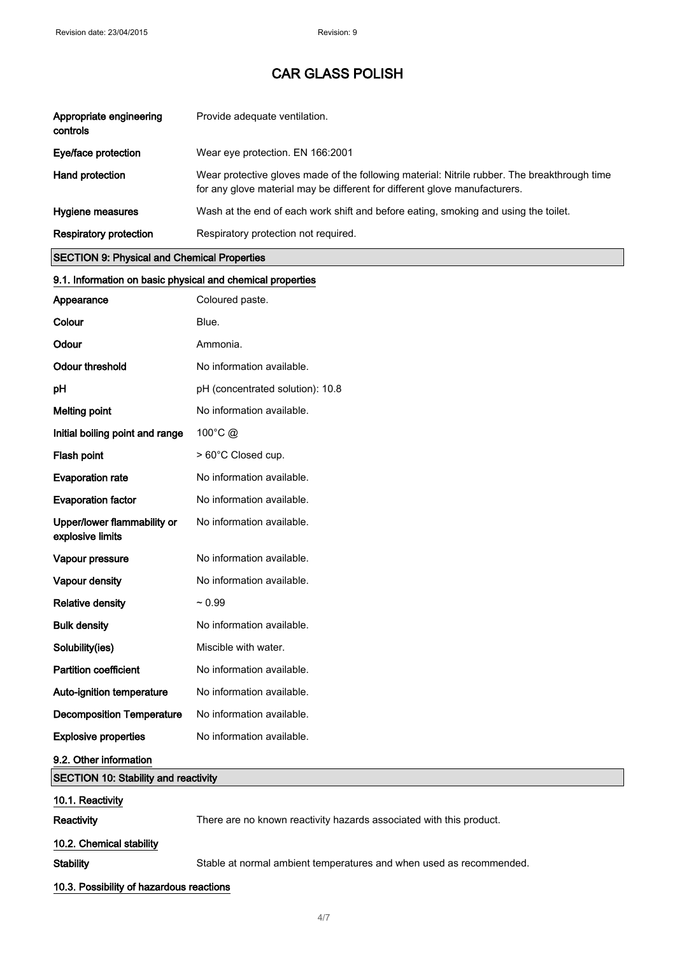| Appropriate engineering<br>controls | Provide adequate ventilation.                                                                                                                                              |
|-------------------------------------|----------------------------------------------------------------------------------------------------------------------------------------------------------------------------|
| Eye/face protection                 | Wear eye protection. EN 166:2001                                                                                                                                           |
| Hand protection                     | Wear protective gloves made of the following material: Nitrile rubber. The breakthrough time<br>for any glove material may be different for different glove manufacturers. |
| Hygiene measures                    | Wash at the end of each work shift and before eating, smoking and using the toilet.                                                                                        |
| <b>Respiratory protection</b>       | Respiratory protection not required.                                                                                                                                       |

## SECTION 9: Physical and Chemical Properties

10.3. Possibility of hazardous reactions

| 9.1. Information on basic physical and chemical properties |                                                                     |
|------------------------------------------------------------|---------------------------------------------------------------------|
| Appearance                                                 | Coloured paste.                                                     |
| Colour                                                     | Blue.                                                               |
| Odour                                                      | Ammonia.                                                            |
| <b>Odour threshold</b>                                     | No information available.                                           |
| pH                                                         | pH (concentrated solution): 10.8                                    |
| <b>Melting point</b>                                       | No information available.                                           |
| Initial boiling point and range                            | 100°C @                                                             |
| Flash point                                                | > 60°C Closed cup.                                                  |
| <b>Evaporation rate</b>                                    | No information available.                                           |
| <b>Evaporation factor</b>                                  | No information available.                                           |
| Upper/lower flammability or<br>explosive limits            | No information available.                                           |
| Vapour pressure                                            | No information available.                                           |
| Vapour density                                             | No information available.                                           |
| <b>Relative density</b>                                    | $~1$ 0.99                                                           |
| <b>Bulk density</b>                                        | No information available.                                           |
| Solubility(ies)                                            | Miscible with water.                                                |
| <b>Partition coefficient</b>                               | No information available.                                           |
| Auto-ignition temperature                                  | No information available.                                           |
| <b>Decomposition Temperature</b>                           | No information available.                                           |
| <b>Explosive properties</b>                                | No information available.                                           |
| 9.2. Other information                                     |                                                                     |
| <b>SECTION 10: Stability and reactivity</b>                |                                                                     |
| 10.1. Reactivity                                           |                                                                     |
| Reactivity                                                 | There are no known reactivity hazards associated with this product. |
| 10.2. Chemical stability                                   |                                                                     |
| <b>Stability</b>                                           | Stable at normal ambient temperatures and when used as recommended. |

4/ 7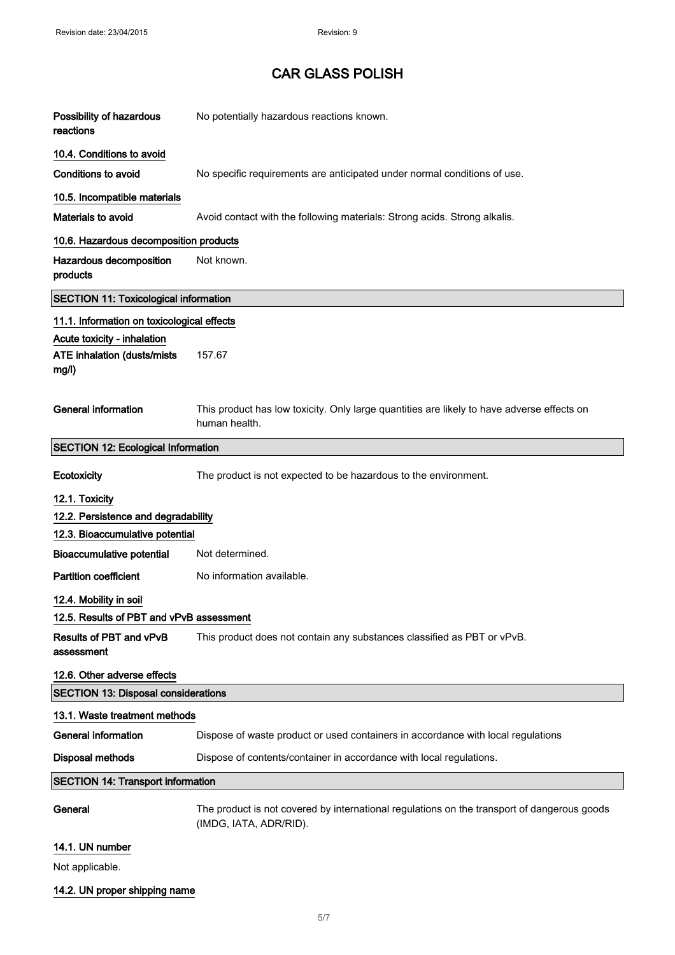| Possibility of hazardous<br>reactions        | No potentially hazardous reactions known.                                                                             |  |
|----------------------------------------------|-----------------------------------------------------------------------------------------------------------------------|--|
| 10.4. Conditions to avoid                    |                                                                                                                       |  |
| <b>Conditions to avoid</b>                   | No specific requirements are anticipated under normal conditions of use.                                              |  |
| 10.5. Incompatible materials                 |                                                                                                                       |  |
| Materials to avoid                           | Avoid contact with the following materials: Strong acids. Strong alkalis.                                             |  |
| 10.6. Hazardous decomposition products       |                                                                                                                       |  |
| Hazardous decomposition<br>products          | Not known.                                                                                                            |  |
| <b>SECTION 11: Toxicological information</b> |                                                                                                                       |  |
| 11.1. Information on toxicological effects   |                                                                                                                       |  |
| Acute toxicity - inhalation                  |                                                                                                                       |  |
| ATE inhalation (dusts/mists<br>mg/l)         | 157.67                                                                                                                |  |
|                                              |                                                                                                                       |  |
| <b>General information</b>                   | This product has low toxicity. Only large quantities are likely to have adverse effects on<br>human health.           |  |
| <b>SECTION 12: Ecological Information</b>    |                                                                                                                       |  |
| Ecotoxicity                                  | The product is not expected to be hazardous to the environment.                                                       |  |
| 12.1. Toxicity                               |                                                                                                                       |  |
| 12.2. Persistence and degradability          |                                                                                                                       |  |
| 12.3. Bioaccumulative potential              |                                                                                                                       |  |
| <b>Bioaccumulative potential</b>             | Not determined.                                                                                                       |  |
| <b>Partition coefficient</b>                 | No information available.                                                                                             |  |
| 12.4. Mobility in soil                       |                                                                                                                       |  |
| 12.5. Results of PBT and vPvB assessment     |                                                                                                                       |  |
| <b>Results of PBT and vPvB</b><br>assessment | This product does not contain any substances classified as PBT or vPvB.                                               |  |
| 12.6. Other adverse effects                  |                                                                                                                       |  |
|                                              | <b>SECTION 13: Disposal considerations</b>                                                                            |  |
| 13.1. Waste treatment methods                |                                                                                                                       |  |
| <b>General information</b>                   | Dispose of waste product or used containers in accordance with local regulations                                      |  |
| <b>Disposal methods</b>                      | Dispose of contents/container in accordance with local regulations.                                                   |  |
| <b>SECTION 14: Transport information</b>     |                                                                                                                       |  |
| General                                      | The product is not covered by international regulations on the transport of dangerous goods<br>(IMDG, IATA, ADR/RID). |  |
| 14.1. UN number                              |                                                                                                                       |  |

Not applicable.

# 14.2. UN proper shipping name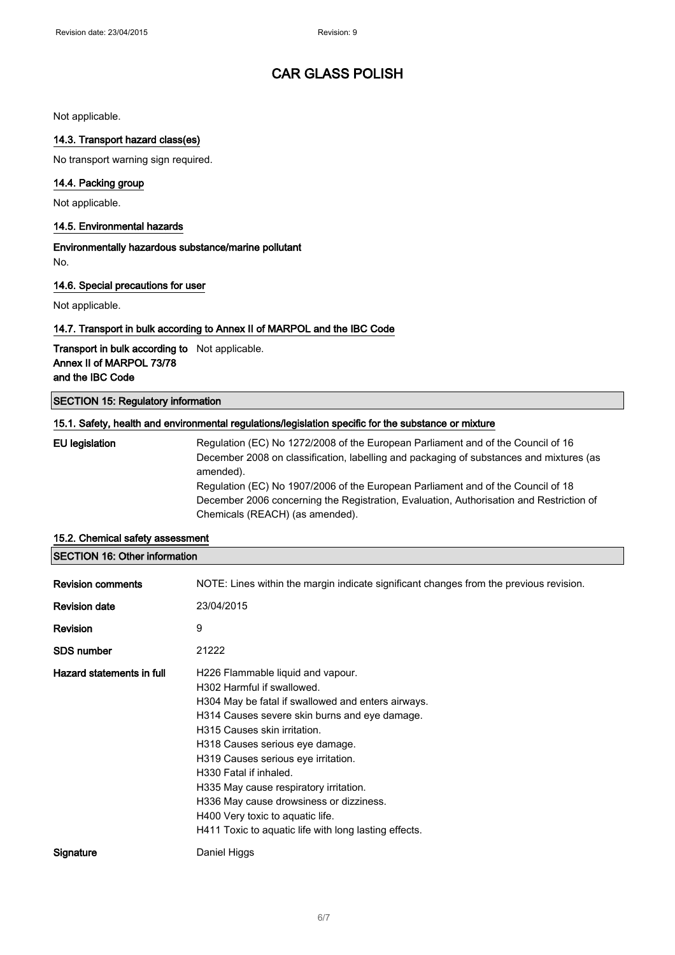Not applicable.

### 14.3. Transport hazard class(es)

No transport warning sign required.

### 14.4. Packing group

Not applicable.

### 14.5. Environmental hazards

Environmentally hazardous substance/marine pollutant No.

### 14.6. Special precautions for user

Not applicable.

### 14.7. Transport in bulk according to Annex II of MARPOL and the IBC Code

Transport in bulk according to Not applicable. Annex II of MARPOL 73/78 and the IBC Code

### SECTION 15: Regulatory information

#### 15.1. Safety, health and environmental regulations/legislation specific for the substance or mixture

EU legislation Regulation (EC) No 1272/2008 of the European Parliament and of the Council of 16 December 2008 on classification, labelling and packaging of substances and mixtures (as amended). Regulation (EC) No 1907/2006 of the European Parliament and of the Council of 18 December 2006 concerning the Registration, Evaluation, Authorisation and Restriction of Chemicals (REACH) (as amended).

| <b>Revision comments</b>  | NOTE: Lines within the margin indicate significant changes from the previous revision.                                                                                                                                                                                                                                                                                                                                                                                                       |
|---------------------------|----------------------------------------------------------------------------------------------------------------------------------------------------------------------------------------------------------------------------------------------------------------------------------------------------------------------------------------------------------------------------------------------------------------------------------------------------------------------------------------------|
| <b>Revision date</b>      | 23/04/2015                                                                                                                                                                                                                                                                                                                                                                                                                                                                                   |
| <b>Revision</b>           | 9                                                                                                                                                                                                                                                                                                                                                                                                                                                                                            |
| <b>SDS number</b>         | 21222                                                                                                                                                                                                                                                                                                                                                                                                                                                                                        |
| Hazard statements in full | H226 Flammable liquid and vapour.<br>H302 Harmful if swallowed.<br>H304 May be fatal if swallowed and enters airways.<br>H314 Causes severe skin burns and eye damage.<br>H315 Causes skin irritation.<br>H318 Causes serious eye damage.<br>H319 Causes serious eye irritation.<br>H330 Fatal if inhaled.<br>H335 May cause respiratory irritation.<br>H336 May cause drowsiness or dizziness.<br>H400 Very toxic to aquatic life.<br>H411 Toxic to aquatic life with long lasting effects. |
| Signature                 | Daniel Higgs                                                                                                                                                                                                                                                                                                                                                                                                                                                                                 |

### 15.2. Chemical safety assessment

SECTION 16: Other information